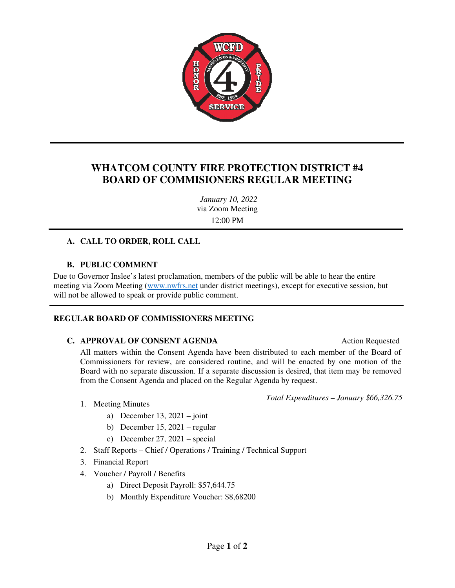

## **WHATCOM COUNTY FIRE PROTECTION DISTRICT #4 BOARD OF COMMISIONERS REGULAR MEETING**

*January 10, 2022*  via Zoom Meeting 12:00 PM

#### **A. CALL TO ORDER, ROLL CALL**

#### **B. PUBLIC COMMENT**

Due to Governor Inslee's latest proclamation, members of the public will be able to hear the entire meeting via Zoom Meeting (www.nwfrs.net under district meetings), except for executive session, but will not be allowed to speak or provide public comment.

#### **REGULAR BOARD OF COMMISSIONERS MEETING**

#### **C. APPROVAL OF CONSENT AGENDA** Action Requested

All matters within the Consent Agenda have been distributed to each member of the Board of Commissioners for review, are considered routine, and will be enacted by one motion of the Board with no separate discussion. If a separate discussion is desired, that item may be removed from the Consent Agenda and placed on the Regular Agenda by request.

*Total Expenditures – January \$66,326.75*

- 1. Meeting Minutes
	- a) December 13,  $2021 joint$
	- b) December 15, 2021 regular
	- c) December 27, 2021 special
- 2. Staff Reports Chief / Operations / Training / Technical Support
- 3. Financial Report
- 4. Voucher / Payroll / Benefits
	- a) Direct Deposit Payroll: \$57,644.75
	- b) Monthly Expenditure Voucher: \$8,68200